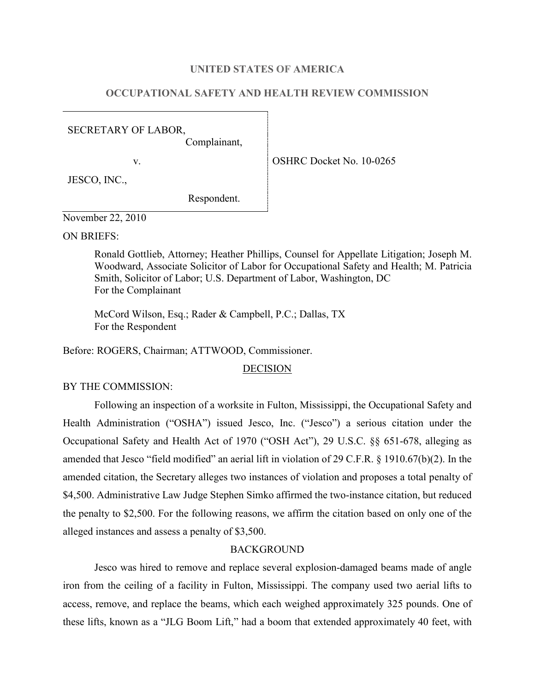## **UNITED STATES OF AMERICA**

# **OCCUPATIONAL SAFETY AND HEALTH REVIEW COMMISSION**

SECRETARY OF LABOR,

Complainant,

v. Solution of the OSHRC Docket No. 10-0265

JESCO, INC.,

Respondent.

November 22, 2010

ON BRIEFS:

Ronald Gottlieb, Attorney; Heather Phillips, Counsel for Appellate Litigation; Joseph M. Woodward, Associate Solicitor of Labor for Occupational Safety and Health; M. Patricia Smith, Solicitor of Labor; U.S. Department of Labor, Washington, DC For the Complainant

McCord Wilson, Esq.; Rader & Campbell, P.C.; Dallas, TX For the Respondent

Before: ROGERS, Chairman; ATTWOOD, Commissioner.

## DECISION

BY THE COMMISSION:

Following an inspection of a worksite in Fulton, Mississippi, the Occupational Safety and Health Administration ("OSHA") issued Jesco, Inc. ("Jesco") a serious citation under the Occupational Safety and Health Act of 1970 ("OSH Act"), 29 U.S.C. §§ 651-678, alleging as amended that Jesco "field modified" an aerial lift in violation of 29 C.F.R. § 1910.67(b)(2). In the amended citation, the Secretary alleges two instances of violation and proposes a total penalty of \$4,500. Administrative Law Judge Stephen Simko affirmed the two-instance citation, but reduced the penalty to \$2,500. For the following reasons, we affirm the citation based on only one of the alleged instances and assess a penalty of \$3,500.

# **BACKGROUND**

Jesco was hired to remove and replace several explosion-damaged beams made of angle iron from the ceiling of a facility in Fulton, Mississippi. The company used two aerial lifts to access, remove, and replace the beams, which each weighed approximately 325 pounds. One of these lifts, known as a "JLG Boom Lift," had a boom that extended approximately 40 feet, with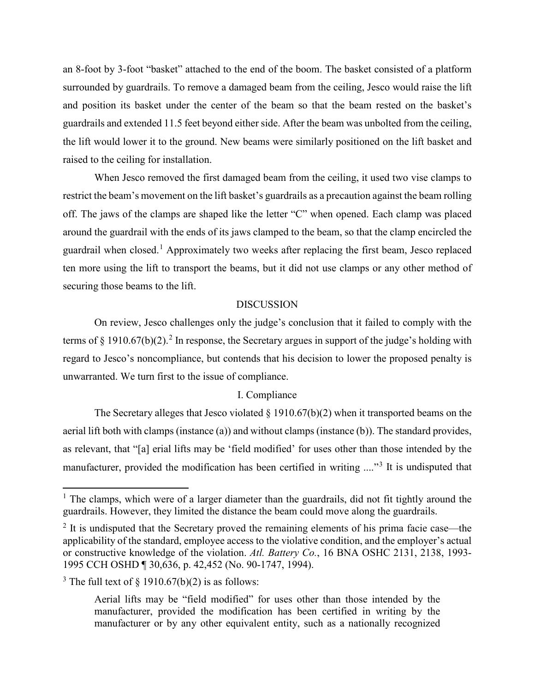an 8-foot by 3-foot "basket" attached to the end of the boom. The basket consisted of a platform surrounded by guardrails. To remove a damaged beam from the ceiling, Jesco would raise the lift and position its basket under the center of the beam so that the beam rested on the basket's guardrails and extended 11.5 feet beyond either side. After the beam was unbolted from the ceiling, the lift would lower it to the ground. New beams were similarly positioned on the lift basket and raised to the ceiling for installation.

When Jesco removed the first damaged beam from the ceiling, it used two vise clamps to restrict the beam's movement on the lift basket's guardrails as a precaution against the beam rolling off. The jaws of the clamps are shaped like the letter "C" when opened. Each clamp was placed around the guardrail with the ends of its jaws clamped to the beam, so that the clamp encircled the guardrail when closed.[1](#page-1-0) Approximately two weeks after replacing the first beam, Jesco replaced ten more using the lift to transport the beams, but it did not use clamps or any other method of securing those beams to the lift.

## DISCUSSION

On review, Jesco challenges only the judge's conclusion that it failed to comply with the terms of § 1910.67(b)([2](#page-1-1)).<sup>2</sup> In response, the Secretary argues in support of the judge's holding with regard to Jesco's noncompliance, but contends that his decision to lower the proposed penalty is unwarranted. We turn first to the issue of compliance.

# I. Compliance

The Secretary alleges that Jesco violated  $\S 1910.67(b)(2)$  when it transported beams on the aerial lift both with clamps (instance (a)) and without clamps (instance (b)). The standard provides, as relevant, that "[a] erial lifts may be 'field modified' for uses other than those intended by the manufacturer, provided the modification has been certified in writing ...."[3](#page-1-2) It is undisputed that

<span id="page-1-0"></span> $<sup>1</sup>$  The clamps, which were of a larger diameter than the guardrails, did not fit tightly around the</sup> guardrails. However, they limited the distance the beam could move along the guardrails.

<span id="page-1-1"></span> $2$  It is undisputed that the Secretary proved the remaining elements of his prima facie case—the applicability of the standard, employee access to the violative condition, and the employer's actual or constructive knowledge of the violation. *Atl. Battery Co.*, 16 BNA OSHC 2131, 2138, 1993- 1995 CCH OSHD ¶ 30,636, p. 42,452 (No. 90-1747, 1994).

<span id="page-1-2"></span><sup>&</sup>lt;sup>3</sup> The full text of  $\frac{1910.67(b)(2)}{2}$  is as follows:

Aerial lifts may be "field modified" for uses other than those intended by the manufacturer, provided the modification has been certified in writing by the manufacturer or by any other equivalent entity, such as a nationally recognized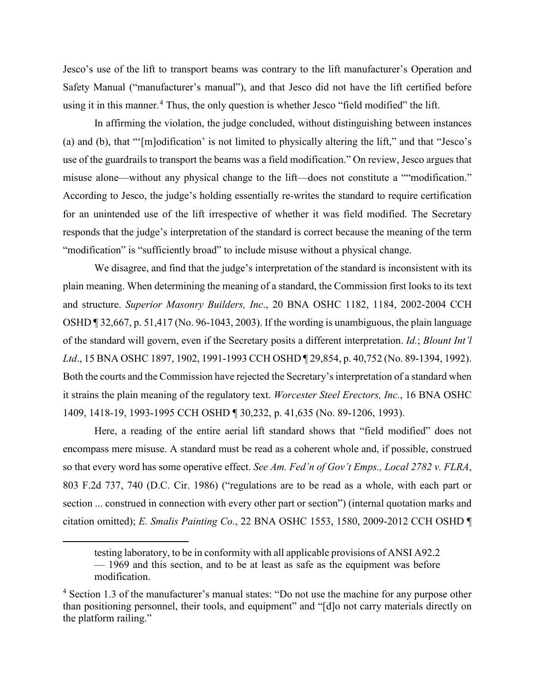Jesco's use of the lift to transport beams was contrary to the lift manufacturer's Operation and Safety Manual ("manufacturer's manual"), and that Jesco did not have the lift certified before using it in this manner.<sup>4</sup> Thus, the only question is whether Jesco "field modified" the lift.

In affirming the violation, the judge concluded, without distinguishing between instances (a) and (b), that "'[m]odification' is not limited to physically altering the lift," and that "Jesco's use of the guardrails to transport the beams was a field modification." On review, Jesco argues that misuse alone—without any physical change to the lift—does not constitute a ""modification." According to Jesco, the judge's holding essentially re-writes the standard to require certification for an unintended use of the lift irrespective of whether it was field modified. The Secretary responds that the judge's interpretation of the standard is correct because the meaning of the term "modification" is "sufficiently broad" to include misuse without a physical change.

We disagree, and find that the judge's interpretation of the standard is inconsistent with its plain meaning. When determining the meaning of a standard, the Commission first looks to its text and structure. *Superior Masonry Builders, Inc*., 20 BNA OSHC 1182, 1184, 2002-2004 CCH OSHD ¶ 32,667, p. 51,417 (No. 96-1043, 2003). If the wording is unambiguous, the plain language of the standard will govern, even if the Secretary posits a different interpretation. *Id.*; *Blount Int'l Ltd*., 15 BNA OSHC 1897, 1902, 1991-1993 CCH OSHD ¶ 29,854, p. 40,752 (No. 89-1394, 1992). Both the courts and the Commission have rejected the Secretary's interpretation of a standard when it strains the plain meaning of the regulatory text. *Worcester Steel Erectors, Inc.*, 16 BNA OSHC 1409, 1418-19, 1993-1995 CCH OSHD ¶ 30,232, p. 41,635 (No. 89-1206, 1993).

Here, a reading of the entire aerial lift standard shows that "field modified" does not encompass mere misuse. A standard must be read as a coherent whole and, if possible, construed so that every word has some operative effect. *See Am. Fed'n of Gov't Emps., Local 2782 v. FLRA*, 803 F.2d 737, 740 (D.C. Cir. 1986) ("regulations are to be read as a whole, with each part or section ... construed in connection with every other part or section") (internal quotation marks and citation omitted); *E. Smalis Painting Co.*, 22 BNA OSHC 1553, 1580, 2009-2012 CCH OSHD ¶

testing laboratory, to be in conformity with all applicable provisions of ANSI A92.2 — 1969 and this section, and to be at least as safe as the equipment was before modification.

<span id="page-2-0"></span><sup>4</sup> Section 1.3 of the manufacturer's manual states: "Do not use the machine for any purpose other than positioning personnel, their tools, and equipment" and "[d]o not carry materials directly on the platform railing."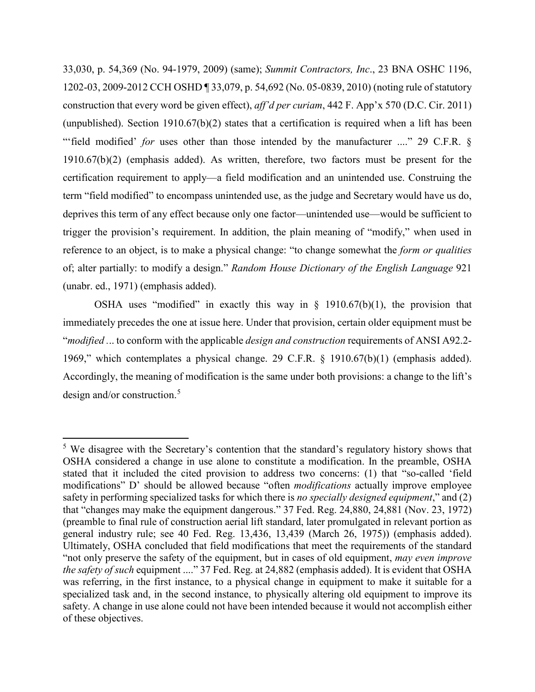33,030, p. 54,369 (No. 94-1979, 2009) (same); *Summit Contractors, Inc*., 23 BNA OSHC 1196, 1202-03, 2009-2012 CCH OSHD ¶ 33,079, p. 54,692 (No. 05-0839, 2010) (noting rule of statutory construction that every word be given effect), *aff'd per curiam*, 442 F. App'x 570 (D.C. Cir. 2011) (unpublished). Section 1910.67(b)(2) states that a certification is required when a lift has been "field modified' *for* uses other than those intended by the manufacturer ...." 29 C.F.R. §  $1910.67(b)(2)$  (emphasis added). As written, therefore, two factors must be present for the certification requirement to apply—a field modification and an unintended use. Construing the term "field modified" to encompass unintended use, as the judge and Secretary would have us do, deprives this term of any effect because only one factor—unintended use—would be sufficient to trigger the provision's requirement. In addition, the plain meaning of "modify," when used in reference to an object, is to make a physical change: "to change somewhat the *form or qualities*  of; alter partially: to modify a design." *Random House Dictionary of the English Language* 921 (unabr. ed., 1971) (emphasis added).

OSHA uses "modified" in exactly this way in  $\S$  1910.67(b)(1), the provision that immediately precedes the one at issue here. Under that provision, certain older equipment must be "*modified .*.. to conform with the applicable *design and construction* requirements of ANSI A92.2- 1969," which contemplates a physical change. 29 C.F.R. § 1910.67(b)(1) (emphasis added). Accordingly, the meaning of modification is the same under both provisions: a change to the lift's design and/or construction.<sup>5</sup>

<span id="page-3-0"></span><sup>&</sup>lt;sup>5</sup> We disagree with the Secretary's contention that the standard's regulatory history shows that OSHA considered a change in use alone to constitute a modification. In the preamble, OSHA stated that it included the cited provision to address two concerns: (1) that "so-called 'field modifications" D' should be allowed because "often *modifications* actually improve employee safety in performing specialized tasks for which there is *no specially designed equipment*," and (2) that "changes may make the equipment dangerous." 37 Fed. Reg. 24,880, 24,881 (Nov. 23, 1972) (preamble to final rule of construction aerial lift standard, later promulgated in relevant portion as general industry rule; see 40 Fed. Reg. 13,436, 13,439 (March 26, 1975)) (emphasis added). Ultimately, OSHA concluded that field modifications that meet the requirements of the standard "not only preserve the safety of the equipment, but in cases of old equipment, *may even improve the safety of such* equipment ...." 37 Fed. Reg. at 24,882 (emphasis added). It is evident that OSHA was referring, in the first instance, to a physical change in equipment to make it suitable for a specialized task and, in the second instance, to physically altering old equipment to improve its safety. A change in use alone could not have been intended because it would not accomplish either of these objectives.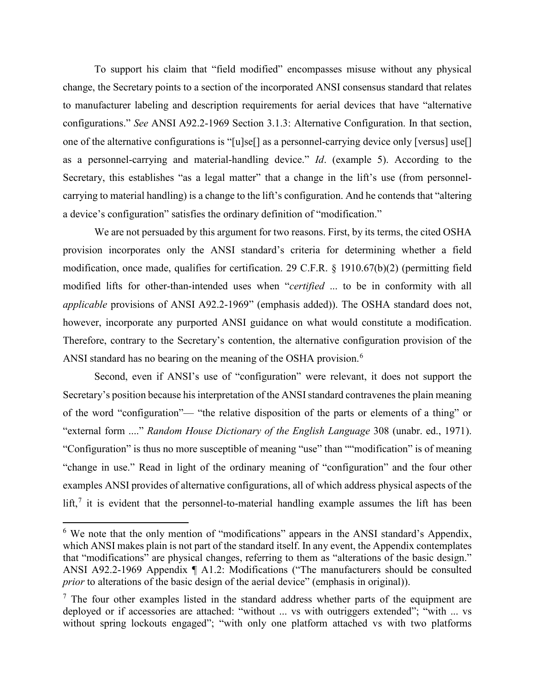To support his claim that "field modified" encompasses misuse without any physical change, the Secretary points to a section of the incorporated ANSI consensus standard that relates to manufacturer labeling and description requirements for aerial devices that have "alternative configurations." *See* ANSI A92.2-1969 Section 3.1.3: Alternative Configuration. In that section, one of the alternative configurations is "[u]se[] as a personnel-carrying device only [versus] use[] as a personnel-carrying and material-handling device." *Id*. (example 5). According to the Secretary, this establishes "as a legal matter" that a change in the lift's use (from personnelcarrying to material handling) is a change to the lift's configuration. And he contends that "altering a device's configuration" satisfies the ordinary definition of "modification."

We are not persuaded by this argument for two reasons. First, by its terms, the cited OSHA provision incorporates only the ANSI standard's criteria for determining whether a field modification, once made, qualifies for certification. 29 C.F.R. § 1910.67(b)(2) (permitting field modified lifts for other-than-intended uses when "*certified* ... to be in conformity with all *applicable* provisions of ANSI A92.2-1969" (emphasis added)). The OSHA standard does not, however, incorporate any purported ANSI guidance on what would constitute a modification. Therefore, contrary to the Secretary's contention, the alternative configuration provision of the ANSI standard has no bearing on the meaning of the OSHA provision.<sup>6</sup>

Second, even if ANSI's use of "configuration" were relevant, it does not support the Secretary's position because his interpretation of the ANSI standard contravenes the plain meaning of the word "configuration"— "the relative disposition of the parts or elements of a thing" or "external form ...." *Random House Dictionary of the English Language* 308 (unabr. ed., 1971). "Configuration" is thus no more susceptible of meaning "use" than ""modification" is of meaning "change in use." Read in light of the ordinary meaning of "configuration" and the four other examples ANSI provides of alternative configurations, all of which address physical aspects of the lift,<sup>7</sup> it is evident that the personnel-to-material handling example assumes the lift has been

<span id="page-4-0"></span><sup>&</sup>lt;sup>6</sup> We note that the only mention of "modifications" appears in the ANSI standard's Appendix, which ANSI makes plain is not part of the standard itself. In any event, the Appendix contemplates that "modifications" are physical changes, referring to them as "alterations of the basic design." ANSI A92.2-1969 Appendix ¶ A1.2: Modifications ("The manufacturers should be consulted *prior* to alterations of the basic design of the aerial device" (emphasis in original)).

<span id="page-4-1"></span> $<sup>7</sup>$  The four other examples listed in the standard address whether parts of the equipment are</sup> deployed or if accessories are attached: "without ... vs with outriggers extended"; "with ... vs without spring lockouts engaged"; "with only one platform attached vs with two platforms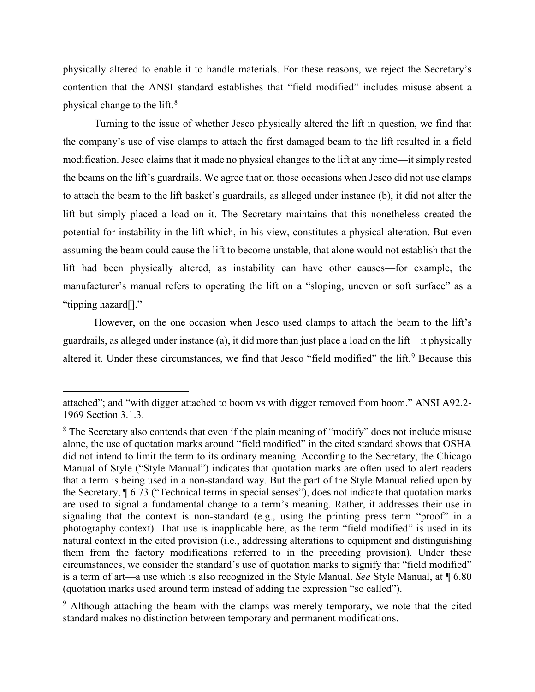physically altered to enable it to handle materials. For these reasons, we reject the Secretary's contention that the ANSI standard establishes that "field modified" includes misuse absent a physical change to the lift.[8](#page-5-0)

Turning to the issue of whether Jesco physically altered the lift in question, we find that the company's use of vise clamps to attach the first damaged beam to the lift resulted in a field modification. Jesco claims that it made no physical changes to the lift at any time—it simply rested the beams on the lift's guardrails. We agree that on those occasions when Jesco did not use clamps to attach the beam to the lift basket's guardrails, as alleged under instance (b), it did not alter the lift but simply placed a load on it. The Secretary maintains that this nonetheless created the potential for instability in the lift which, in his view, constitutes a physical alteration. But even assuming the beam could cause the lift to become unstable, that alone would not establish that the lift had been physically altered, as instability can have other causes—for example, the manufacturer's manual refers to operating the lift on a "sloping, uneven or soft surface" as a "tipping hazard[]."

However, on the one occasion when Jesco used clamps to attach the beam to the lift's guardrails, as alleged under instance (a), it did more than just place a load on the lift—it physically altered it. Under these circumstances, we find that Jesco "field modified" the lift.<sup>[9](#page-5-1)</sup> Because this

attached"; and "with digger attached to boom vs with digger removed from boom." ANSI A92.2- 1969 Section 3.1.3.

<span id="page-5-0"></span><sup>&</sup>lt;sup>8</sup> The Secretary also contends that even if the plain meaning of "modify" does not include misuse alone, the use of quotation marks around "field modified" in the cited standard shows that OSHA did not intend to limit the term to its ordinary meaning. According to the Secretary, the Chicago Manual of Style ("Style Manual") indicates that quotation marks are often used to alert readers that a term is being used in a non-standard way. But the part of the Style Manual relied upon by the Secretary, ¶ 6.73 ("Technical terms in special senses"), does not indicate that quotation marks are used to signal a fundamental change to a term's meaning. Rather, it addresses their use in signaling that the context is non-standard (e.g., using the printing press term "proof" in a photography context). That use is inapplicable here, as the term "field modified" is used in its natural context in the cited provision (i.e., addressing alterations to equipment and distinguishing them from the factory modifications referred to in the preceding provision). Under these circumstances, we consider the standard's use of quotation marks to signify that "field modified" is a term of art—a use which is also recognized in the Style Manual. *See* Style Manual, at ¶ 6.80 (quotation marks used around term instead of adding the expression "so called").

<span id="page-5-1"></span><sup>&</sup>lt;sup>9</sup> Although attaching the beam with the clamps was merely temporary, we note that the cited standard makes no distinction between temporary and permanent modifications.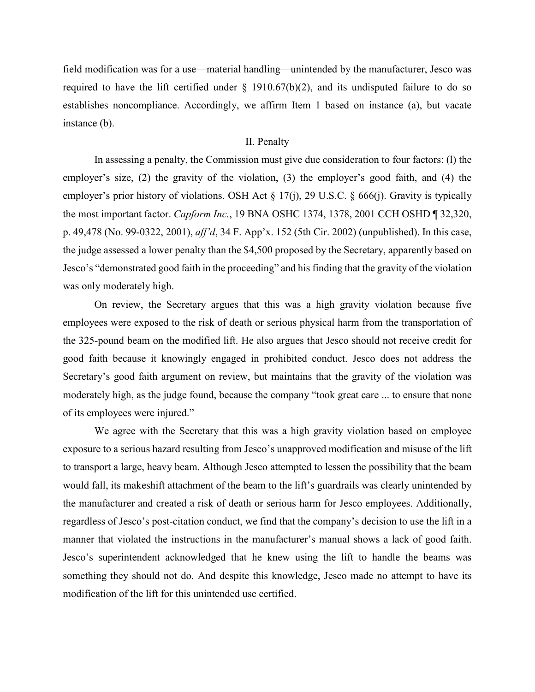field modification was for a use—material handling—unintended by the manufacturer, Jesco was required to have the lift certified under  $\S$  1910.67(b)(2), and its undisputed failure to do so establishes noncompliance. Accordingly, we affirm Item 1 based on instance (a), but vacate instance (b).

## II. Penalty

In assessing a penalty, the Commission must give due consideration to four factors: (l) the employer's size, (2) the gravity of the violation, (3) the employer's good faith, and (4) the employer's prior history of violations. OSH Act § 17(j), 29 U.S.C. § 666(j). Gravity is typically the most important factor. *Capform Inc.*, 19 BNA OSHC 1374, 1378, 2001 CCH OSHD ¶ 32,320, p. 49,478 (No. 99-0322, 2001), *aff'd*, 34 F. App'x. 152 (5th Cir. 2002) (unpublished). In this case, the judge assessed a lower penalty than the \$4,500 proposed by the Secretary, apparently based on Jesco's "demonstrated good faith in the proceeding" and his finding that the gravity of the violation was only moderately high.

On review, the Secretary argues that this was a high gravity violation because five employees were exposed to the risk of death or serious physical harm from the transportation of the 325-pound beam on the modified lift. He also argues that Jesco should not receive credit for good faith because it knowingly engaged in prohibited conduct. Jesco does not address the Secretary's good faith argument on review, but maintains that the gravity of the violation was moderately high, as the judge found, because the company "took great care ... to ensure that none of its employees were injured."

We agree with the Secretary that this was a high gravity violation based on employee exposure to a serious hazard resulting from Jesco's unapproved modification and misuse of the lift to transport a large, heavy beam. Although Jesco attempted to lessen the possibility that the beam would fall, its makeshift attachment of the beam to the lift's guardrails was clearly unintended by the manufacturer and created a risk of death or serious harm for Jesco employees. Additionally, regardless of Jesco's post-citation conduct, we find that the company's decision to use the lift in a manner that violated the instructions in the manufacturer's manual shows a lack of good faith. Jesco's superintendent acknowledged that he knew using the lift to handle the beams was something they should not do. And despite this knowledge, Jesco made no attempt to have its modification of the lift for this unintended use certified.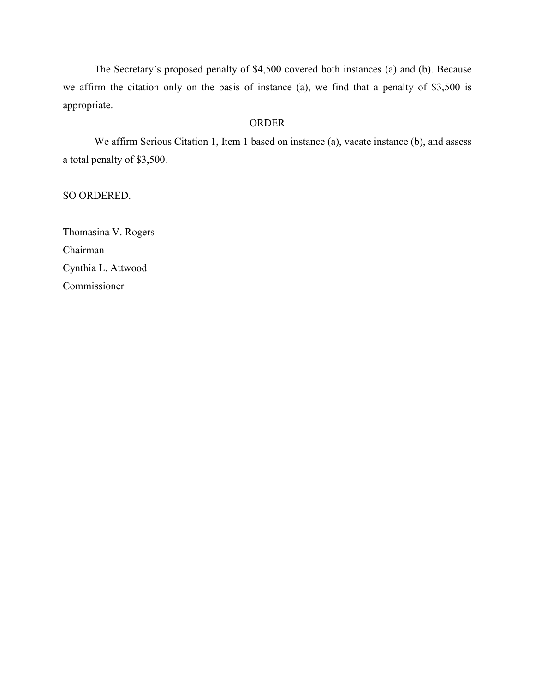The Secretary's proposed penalty of \$4,500 covered both instances (a) and (b). Because we affirm the citation only on the basis of instance (a), we find that a penalty of \$3,500 is appropriate.

#### ORDER

We affirm Serious Citation 1, Item 1 based on instance (a), vacate instance (b), and assess a total penalty of \$3,500.

SO ORDERED.

Thomasina V. Rogers Chairman Cynthia L. Attwood Commissioner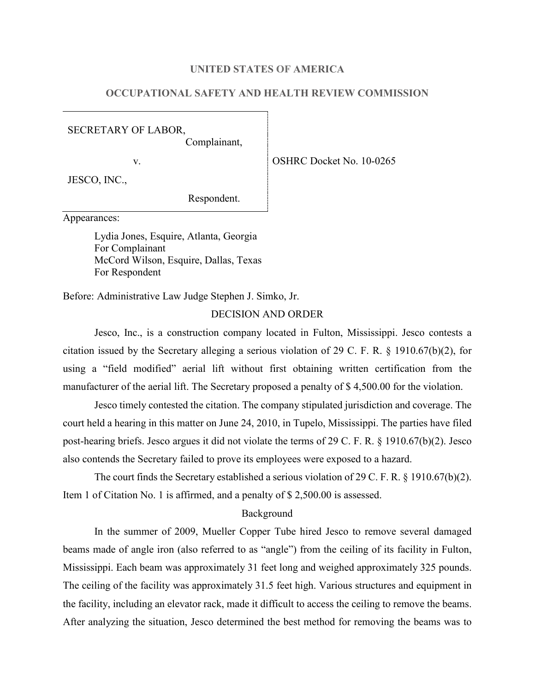## **UNITED STATES OF AMERICA**

# **OCCUPATIONAL SAFETY AND HEALTH REVIEW COMMISSION**

SECRETARY OF LABOR,

Complainant,

v. Solution of the OSHRC Docket No. 10-0265

JESCO, INC.,

Respondent.

Appearances:

Lydia Jones, Esquire, Atlanta, Georgia For Complainant McCord Wilson, Esquire, Dallas, Texas For Respondent

Before: Administrative Law Judge Stephen J. Simko, Jr.

#### DECISION AND ORDER

Jesco, Inc., is a construction company located in Fulton, Mississippi. Jesco contests a citation issued by the Secretary alleging a serious violation of 29 C. F. R. § 1910.67(b)(2), for using a "field modified" aerial lift without first obtaining written certification from the manufacturer of the aerial lift. The Secretary proposed a penalty of \$ 4,500.00 for the violation.

Jesco timely contested the citation. The company stipulated jurisdiction and coverage. The court held a hearing in this matter on June 24, 2010, in Tupelo, Mississippi. The parties have filed post-hearing briefs. Jesco argues it did not violate the terms of 29 C. F. R. § 1910.67(b)(2). Jesco also contends the Secretary failed to prove its employees were exposed to a hazard.

The court finds the Secretary established a serious violation of 29 C. F. R. § 1910.67(b)(2). Item 1 of Citation No. 1 is affirmed, and a penalty of \$ 2,500.00 is assessed.

#### Background

In the summer of 2009, Mueller Copper Tube hired Jesco to remove several damaged beams made of angle iron (also referred to as "angle") from the ceiling of its facility in Fulton, Mississippi. Each beam was approximately 31 feet long and weighed approximately 325 pounds. The ceiling of the facility was approximately 31.5 feet high. Various structures and equipment in the facility, including an elevator rack, made it difficult to access the ceiling to remove the beams. After analyzing the situation, Jesco determined the best method for removing the beams was to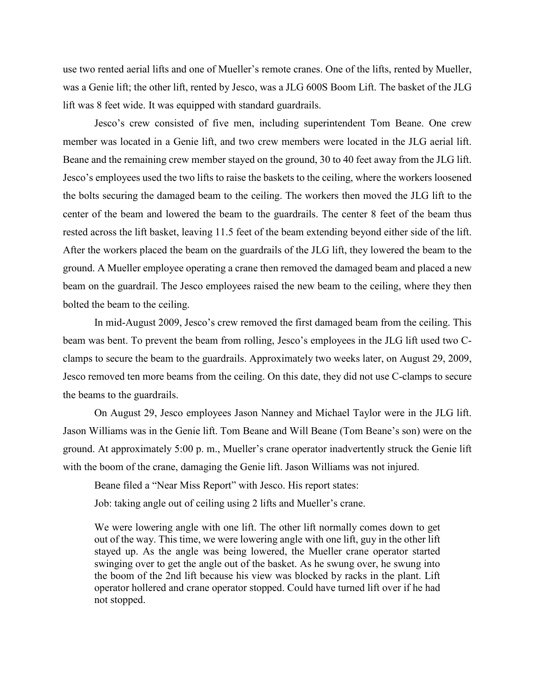use two rented aerial lifts and one of Mueller's remote cranes. One of the lifts, rented by Mueller, was a Genie lift; the other lift, rented by Jesco, was a JLG 600S Boom Lift. The basket of the JLG lift was 8 feet wide. It was equipped with standard guardrails.

Jesco's crew consisted of five men, including superintendent Tom Beane. One crew member was located in a Genie lift, and two crew members were located in the JLG aerial lift. Beane and the remaining crew member stayed on the ground, 30 to 40 feet away from the JLG lift. Jesco's employees used the two lifts to raise the baskets to the ceiling, where the workers loosened the bolts securing the damaged beam to the ceiling. The workers then moved the JLG lift to the center of the beam and lowered the beam to the guardrails. The center 8 feet of the beam thus rested across the lift basket, leaving 11.5 feet of the beam extending beyond either side of the lift. After the workers placed the beam on the guardrails of the JLG lift, they lowered the beam to the ground. A Mueller employee operating a crane then removed the damaged beam and placed a new beam on the guardrail. The Jesco employees raised the new beam to the ceiling, where they then bolted the beam to the ceiling.

In mid-August 2009, Jesco's crew removed the first damaged beam from the ceiling. This beam was bent. To prevent the beam from rolling, Jesco's employees in the JLG lift used two Cclamps to secure the beam to the guardrails. Approximately two weeks later, on August 29, 2009, Jesco removed ten more beams from the ceiling. On this date, they did not use C-clamps to secure the beams to the guardrails.

On August 29, Jesco employees Jason Nanney and Michael Taylor were in the JLG lift. Jason Williams was in the Genie lift. Tom Beane and Will Beane (Tom Beane's son) were on the ground. At approximately 5:00 p. m., Mueller's crane operator inadvertently struck the Genie lift with the boom of the crane, damaging the Genie lift. Jason Williams was not injured.

Beane filed a "Near Miss Report" with Jesco. His report states:

Job: taking angle out of ceiling using 2 lifts and Mueller's crane.

We were lowering angle with one lift. The other lift normally comes down to get out of the way. This time, we were lowering angle with one lift, guy in the other lift stayed up. As the angle was being lowered, the Mueller crane operator started swinging over to get the angle out of the basket. As he swung over, he swung into the boom of the 2nd lift because his view was blocked by racks in the plant. Lift operator hollered and crane operator stopped. Could have turned lift over if he had not stopped.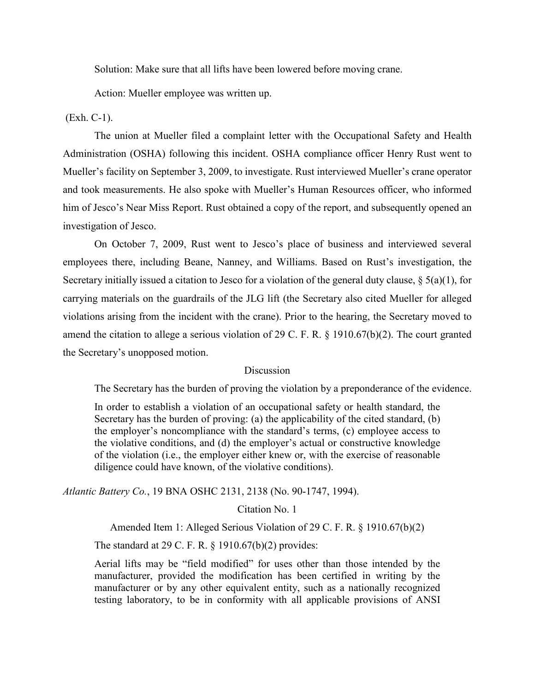Solution: Make sure that all lifts have been lowered before moving crane.

Action: Mueller employee was written up.

(Exh. C-1).

The union at Mueller filed a complaint letter with the Occupational Safety and Health Administration (OSHA) following this incident. OSHA compliance officer Henry Rust went to Mueller's facility on September 3, 2009, to investigate. Rust interviewed Mueller's crane operator and took measurements. He also spoke with Mueller's Human Resources officer, who informed him of Jesco's Near Miss Report. Rust obtained a copy of the report, and subsequently opened an investigation of Jesco.

On October 7, 2009, Rust went to Jesco's place of business and interviewed several employees there, including Beane, Nanney, and Williams. Based on Rust's investigation, the Secretary initially issued a citation to Jesco for a violation of the general duty clause,  $\S$  5(a)(1), for carrying materials on the guardrails of the JLG lift (the Secretary also cited Mueller for alleged violations arising from the incident with the crane). Prior to the hearing, the Secretary moved to amend the citation to allege a serious violation of 29 C. F. R. § 1910.67(b)(2). The court granted the Secretary's unopposed motion.

# **Discussion**

The Secretary has the burden of proving the violation by a preponderance of the evidence.

In order to establish a violation of an occupational safety or health standard, the Secretary has the burden of proving: (a) the applicability of the cited standard, (b) the employer's noncompliance with the standard's terms, (c) employee access to the violative conditions, and (d) the employer's actual or constructive knowledge of the violation (i.e., the employer either knew or, with the exercise of reasonable diligence could have known, of the violative conditions).

*Atlantic Battery Co.*, 19 BNA OSHC 2131, 2138 (No. 90-1747, 1994).

Citation No. 1

Amended Item 1: Alleged Serious Violation of 29 C. F. R. § 1910.67(b)(2)

The standard at 29 C. F. R. § 1910.67(b)(2) provides:

Aerial lifts may be "field modified" for uses other than those intended by the manufacturer, provided the modification has been certified in writing by the manufacturer or by any other equivalent entity, such as a nationally recognized testing laboratory, to be in conformity with all applicable provisions of ANSI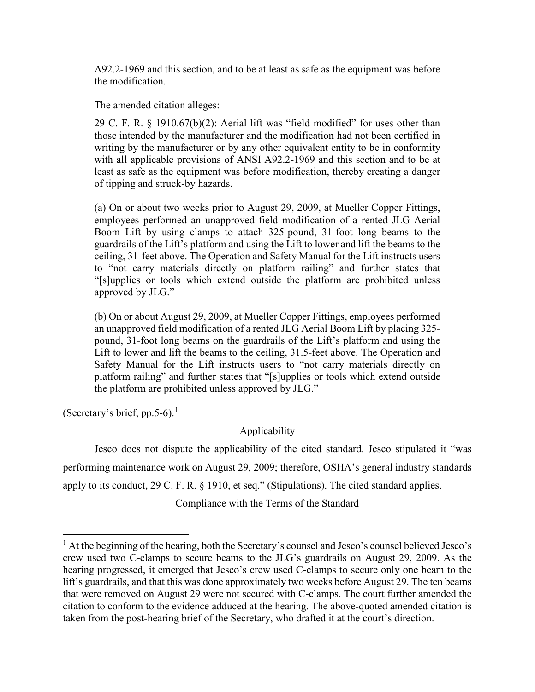A92.2-1969 and this section, and to be at least as safe as the equipment was before the modification.

The amended citation alleges:

29 C. F. R. § 1910.67(b)(2): Aerial lift was "field modified" for uses other than those intended by the manufacturer and the modification had not been certified in writing by the manufacturer or by any other equivalent entity to be in conformity with all applicable provisions of ANSI A92.2-1969 and this section and to be at least as safe as the equipment was before modification, thereby creating a danger of tipping and struck-by hazards.

(a) On or about two weeks prior to August 29, 2009, at Mueller Copper Fittings, employees performed an unapproved field modification of a rented JLG Aerial Boom Lift by using clamps to attach 325-pound, 31-foot long beams to the guardrails of the Lift's platform and using the Lift to lower and lift the beams to the ceiling, 31-feet above. The Operation and Safety Manual for the Lift instructs users to "not carry materials directly on platform railing" and further states that "[s]upplies or tools which extend outside the platform are prohibited unless approved by JLG."

(b) On or about August 29, 2009, at Mueller Copper Fittings, employees performed an unapproved field modification of a rented JLG Aerial Boom Lift by placing 325 pound, 31-foot long beams on the guardrails of the Lift's platform and using the Lift to lower and lift the beams to the ceiling, 31.5-feet above. The Operation and Safety Manual for the Lift instructs users to "not carry materials directly on platform railing" and further states that "[s]upplies or tools which extend outside the platform are prohibited unless approved by JLG."

(Secretary's brief, pp.5-6).<sup>[1](#page-11-0)</sup>

# Applicability

Jesco does not dispute the applicability of the cited standard. Jesco stipulated it "was performing maintenance work on August 29, 2009; therefore, OSHA's general industry standards apply to its conduct, 29 C. F. R. § 1910, et seq." (Stipulations). The cited standard applies.

Compliance with the Terms of the Standard

<span id="page-11-0"></span> $<sup>1</sup>$  At the beginning of the hearing, both the Secretary's counsel and Jesco's counsel believed Jesco's</sup> crew used two C-clamps to secure beams to the JLG's guardrails on August 29, 2009. As the hearing progressed, it emerged that Jesco's crew used C-clamps to secure only one beam to the lift's guardrails, and that this was done approximately two weeks before August 29. The ten beams that were removed on August 29 were not secured with C-clamps. The court further amended the citation to conform to the evidence adduced at the hearing. The above-quoted amended citation is taken from the post-hearing brief of the Secretary, who drafted it at the court's direction.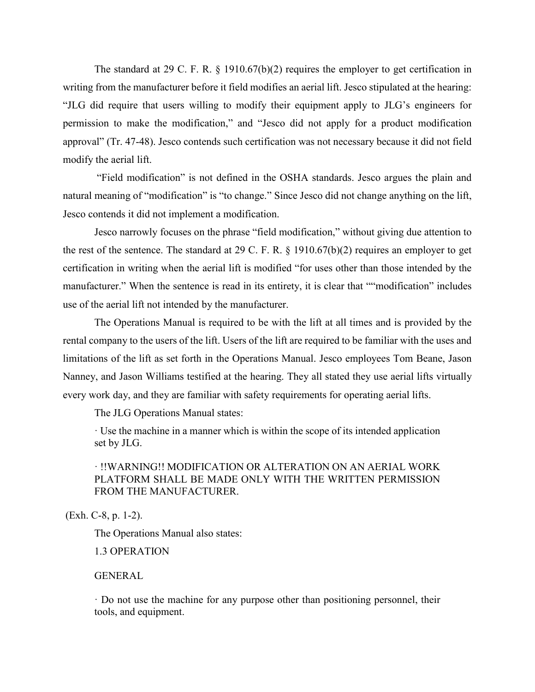The standard at 29 C. F. R. § 1910.67(b)(2) requires the employer to get certification in writing from the manufacturer before it field modifies an aerial lift. Jesco stipulated at the hearing: "JLG did require that users willing to modify their equipment apply to JLG's engineers for permission to make the modification," and "Jesco did not apply for a product modification approval" (Tr. 47-48). Jesco contends such certification was not necessary because it did not field modify the aerial lift.

"Field modification" is not defined in the OSHA standards. Jesco argues the plain and natural meaning of "modification" is "to change." Since Jesco did not change anything on the lift, Jesco contends it did not implement a modification.

Jesco narrowly focuses on the phrase "field modification," without giving due attention to the rest of the sentence. The standard at 29 C. F. R. § 1910.67(b)(2) requires an employer to get certification in writing when the aerial lift is modified "for uses other than those intended by the manufacturer." When the sentence is read in its entirety, it is clear that ""modification" includes use of the aerial lift not intended by the manufacturer.

The Operations Manual is required to be with the lift at all times and is provided by the rental company to the users of the lift. Users of the lift are required to be familiar with the uses and limitations of the lift as set forth in the Operations Manual. Jesco employees Tom Beane, Jason Nanney, and Jason Williams testified at the hearing. They all stated they use aerial lifts virtually every work day, and they are familiar with safety requirements for operating aerial lifts.

The JLG Operations Manual states:

· Use the machine in a manner which is within the scope of its intended application set by JLG.

# · !!WARNING!! MODIFICATION OR ALTERATION ON AN AERIAL WORK PLATFORM SHALL BE MADE ONLY WITH THE WRITTEN PERMISSION FROM THE MANUFACTURER.

(Exh. C-8, p. 1-2).

The Operations Manual also states:

1.3 OPERATION

# GENERAL

· Do not use the machine for any purpose other than positioning personnel, their tools, and equipment.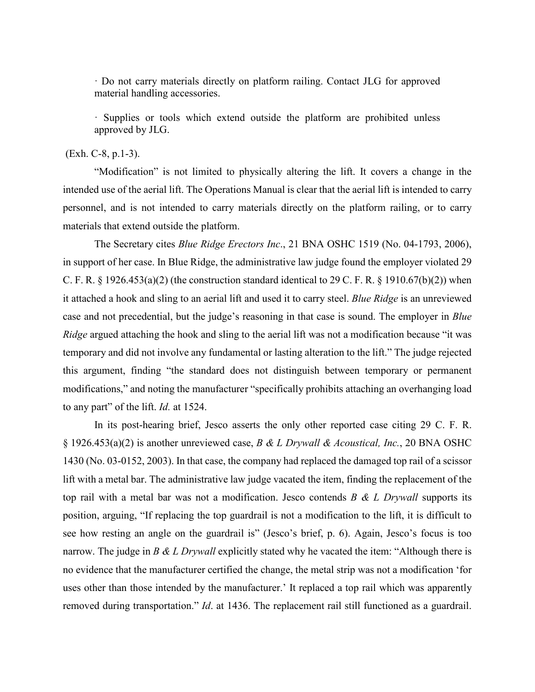· Do not carry materials directly on platform railing. Contact JLG for approved material handling accessories.

· Supplies or tools which extend outside the platform are prohibited unless approved by JLG.

# (Exh. C-8, p.1-3).

"Modification" is not limited to physically altering the lift. It covers a change in the intended use of the aerial lift. The Operations Manual is clear that the aerial lift is intended to carry personnel, and is not intended to carry materials directly on the platform railing, or to carry materials that extend outside the platform.

The Secretary cites *Blue Ridge Erectors Inc*., 21 BNA OSHC 1519 (No. 04-1793, 2006), in support of her case. In Blue Ridge, the administrative law judge found the employer violated 29 C. F. R.  $\S$  1926.453(a)(2) (the construction standard identical to 29 C. F. R.  $\S$  1910.67(b)(2)) when it attached a hook and sling to an aerial lift and used it to carry steel. *Blue Ridge* is an unreviewed case and not precedential, but the judge's reasoning in that case is sound. The employer in *Blue Ridge* argued attaching the hook and sling to the aerial lift was not a modification because "it was temporary and did not involve any fundamental or lasting alteration to the lift." The judge rejected this argument, finding "the standard does not distinguish between temporary or permanent modifications," and noting the manufacturer "specifically prohibits attaching an overhanging load to any part" of the lift. *Id.* at 1524.

In its post-hearing brief, Jesco asserts the only other reported case citing 29 C. F. R. § 1926.453(a)(2) is another unreviewed case, *B & L Drywall & Acoustical, Inc.*, 20 BNA OSHC 1430 (No. 03-0152, 2003). In that case, the company had replaced the damaged top rail of a scissor lift with a metal bar. The administrative law judge vacated the item, finding the replacement of the top rail with a metal bar was not a modification. Jesco contends *B & L Drywall* supports its position, arguing, "If replacing the top guardrail is not a modification to the lift, it is difficult to see how resting an angle on the guardrail is" (Jesco's brief, p. 6). Again, Jesco's focus is too narrow. The judge in *B & L Drywall* explicitly stated why he vacated the item: "Although there is no evidence that the manufacturer certified the change, the metal strip was not a modification 'for uses other than those intended by the manufacturer.' It replaced a top rail which was apparently removed during transportation." *Id*. at 1436. The replacement rail still functioned as a guardrail.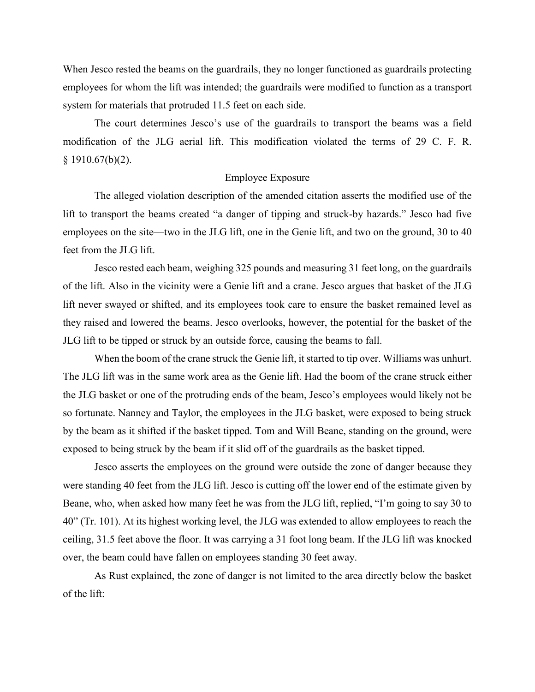When Jesco rested the beams on the guardrails, they no longer functioned as guardrails protecting employees for whom the lift was intended; the guardrails were modified to function as a transport system for materials that protruded 11.5 feet on each side.

The court determines Jesco's use of the guardrails to transport the beams was a field modification of the JLG aerial lift. This modification violated the terms of 29 C. F. R.  $§$  1910.67(b)(2).

# Employee Exposure

The alleged violation description of the amended citation asserts the modified use of the lift to transport the beams created "a danger of tipping and struck-by hazards." Jesco had five employees on the site—two in the JLG lift, one in the Genie lift, and two on the ground, 30 to 40 feet from the JLG lift.

Jesco rested each beam, weighing 325 pounds and measuring 31 feet long, on the guardrails of the lift. Also in the vicinity were a Genie lift and a crane. Jesco argues that basket of the JLG lift never swayed or shifted, and its employees took care to ensure the basket remained level as they raised and lowered the beams. Jesco overlooks, however, the potential for the basket of the JLG lift to be tipped or struck by an outside force, causing the beams to fall.

When the boom of the crane struck the Genie lift, it started to tip over. Williams was unhurt. The JLG lift was in the same work area as the Genie lift. Had the boom of the crane struck either the JLG basket or one of the protruding ends of the beam, Jesco's employees would likely not be so fortunate. Nanney and Taylor, the employees in the JLG basket, were exposed to being struck by the beam as it shifted if the basket tipped. Tom and Will Beane, standing on the ground, were exposed to being struck by the beam if it slid off of the guardrails as the basket tipped.

Jesco asserts the employees on the ground were outside the zone of danger because they were standing 40 feet from the JLG lift. Jesco is cutting off the lower end of the estimate given by Beane, who, when asked how many feet he was from the JLG lift, replied, "I'm going to say 30 to 40" (Tr. 101). At its highest working level, the JLG was extended to allow employees to reach the ceiling, 31.5 feet above the floor. It was carrying a 31 foot long beam. If the JLG lift was knocked over, the beam could have fallen on employees standing 30 feet away.

As Rust explained, the zone of danger is not limited to the area directly below the basket of the lift: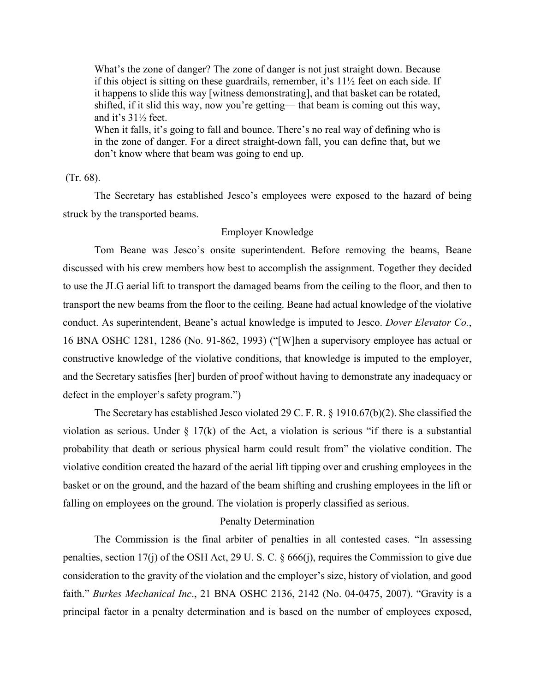What's the zone of danger? The zone of danger is not just straight down. Because if this object is sitting on these guardrails, remember, it's 11½ feet on each side. If it happens to slide this way [witness demonstrating], and that basket can be rotated, shifted, if it slid this way, now you're getting— that beam is coming out this way, and it's 31½ feet.

When it falls, it's going to fall and bounce. There's no real way of defining who is in the zone of danger. For a direct straight-down fall, you can define that, but we don't know where that beam was going to end up.

# (Tr. 68).

The Secretary has established Jesco's employees were exposed to the hazard of being struck by the transported beams.

# Employer Knowledge

Tom Beane was Jesco's onsite superintendent. Before removing the beams, Beane discussed with his crew members how best to accomplish the assignment. Together they decided to use the JLG aerial lift to transport the damaged beams from the ceiling to the floor, and then to transport the new beams from the floor to the ceiling. Beane had actual knowledge of the violative conduct. As superintendent, Beane's actual knowledge is imputed to Jesco. *Dover Elevator Co.*, 16 BNA OSHC 1281, 1286 (No. 91-862, 1993) ("[W]hen a supervisory employee has actual or constructive knowledge of the violative conditions, that knowledge is imputed to the employer, and the Secretary satisfies [her] burden of proof without having to demonstrate any inadequacy or defect in the employer's safety program.")

The Secretary has established Jesco violated 29 C. F. R. § 1910.67(b)(2). She classified the violation as serious. Under  $\S 17(k)$  of the Act, a violation is serious "if there is a substantial probability that death or serious physical harm could result from" the violative condition. The violative condition created the hazard of the aerial lift tipping over and crushing employees in the basket or on the ground, and the hazard of the beam shifting and crushing employees in the lift or falling on employees on the ground. The violation is properly classified as serious.

# Penalty Determination

The Commission is the final arbiter of penalties in all contested cases. "In assessing penalties, section 17(j) of the OSH Act, 29 U. S. C. § 666(j), requires the Commission to give due consideration to the gravity of the violation and the employer's size, history of violation, and good faith." *Burkes Mechanical Inc*., 21 BNA OSHC 2136, 2142 (No. 04-0475, 2007). "Gravity is a principal factor in a penalty determination and is based on the number of employees exposed,